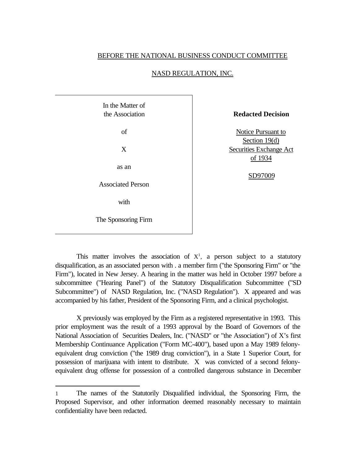## BEFORE THE NATIONAL BUSINESS CONDUCT COMMITTEE

| In the Matter of<br>the Association | <b>Redacted Decision</b>                   |
|-------------------------------------|--------------------------------------------|
| of                                  | Notice Pursuant to                         |
| X                                   | Section $19(d)$<br>Securities Exchange Act |
| as an                               | of 1934                                    |
| <b>Associated Person</b>            | SD97009                                    |
| with                                |                                            |
| The Sponsoring Firm                 |                                            |

## NASD REGULATION, INC.

This matter involves the association of  $X<sup>1</sup>$ , a person subject to a statutory disqualification, as an associated person with . a member firm ("the Sponsoring Firm" or "the Firm"), located in New Jersey. A hearing in the matter was held in October 1997 before a subcommittee ("Hearing Panel") of the Statutory Disqualification Subcommittee ("SD Subcommittee") of NASD Regulation, Inc. ("NASD Regulation"). X appeared and was accompanied by his father, President of the Sponsoring Firm, and a clinical psychologist.

X previously was employed by the Firm as a registered representative in 1993. This prior employment was the result of a 1993 approval by the Board of Governors of the National Association of Securities Dealers, Inc. ("NASD" or "the Association") of X's first Membership Continuance Application ("Form MC-400"), based upon a May 1989 felonyequivalent drug conviction ("the 1989 drug conviction"), in a State 1 Superior Court, for possession of marijuana with intent to distribute. X was convicted of a second felonyequivalent drug offense for possession of a controlled dangerous substance in December

l

<sup>1</sup> The names of the Statutorily Disqualified individual, the Sponsoring Firm, the Proposed Supervisor, and other information deemed reasonably necessary to maintain confidentiality have been redacted.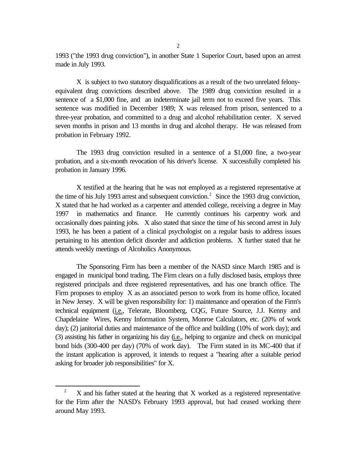1993 ("the 1993 drug conviction"), in another State 1 Superior Court, based upon an arrest made in July 1993.

X is subject to two statutory disqualifications as a result of the two unrelated felonyequivalent drug convictions described above. The 1989 drug conviction resulted in a sentence of a \$1,000 fine, and an indeterminate jail term not to exceed five years. This sentence was modified in December 1989; X was released from prison, sentenced to a three-year probation, and committed to a drug and alcohol rehabilitation center. X served seven months in prison and 13 months in drug and alcohol therapy. He was released from probation in February 1992.

The 1993 drug conviction resulted in a sentence of a \$1,000 fine, a two-year probation, and a six-month revocation of his driver's license. X successfully completed his probation in January 1996.

X testified at the hearing that he was not employed as a registered representative at the time of his July 1993 arrest and subsequent conviction.<sup>2</sup> Since the 1993 drug conviction, X stated that he had worked as a carpenter and attended college, receiving a degree in May 1997 in mathematics and finance. He currently continues his carpentry work and occasionally does painting jobs. X also stated that since the time of his second arrest in July 1993, he has been a patient of a clinical psychologist on a regular basis to address issues pertaining to his attention deficit disorder and addiction problems. X further stated that he attends weekly meetings of Alcoholics Anonymous.

The Sponsoring Firm has been a member of the NASD since March 1985 and is engaged in municipal bond trading. The Firm clears on a fully disclosed basis, employs three registered principals and three registered representatives, and has one branch office. The Firm proposes to employ X as an associated person to work from its home office, located in New Jersey. X will be given responsibility for: 1) maintenance and operation of the Firm's technical equipment (i.e., Telerate, Bloomberg, CQG, Future Source, J.J. Kenny and Chapdelaine Wires, Kenny Information System, Monroe Calculators, etc. (20% of work day); (2) janitorial duties and maintenance of the office and building (10% of work day); and (3) assisting his father in organizing his day (i.e., helping to organize and check on municipal bond bids (300-400 per day) (70% of work day). The Firm stated in its MC-400 that if the instant application is approved, it intends to request a "hearing after a suitable period asking for broader job responsibilities" for X.

l

 $2^2$  X and his father stated at the hearing that X worked as a registered representative for the Firm after the NASD's February 1993 approval, but had ceased working there around May 1993.